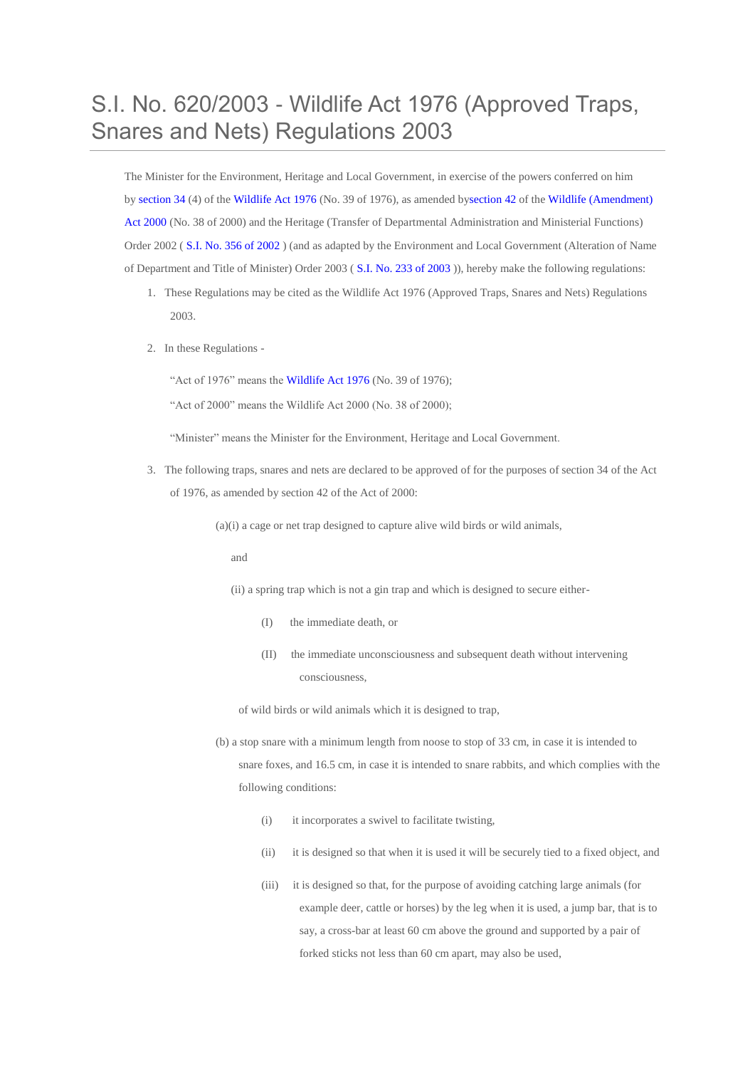## S.I. No. 620/2003 - Wildlife Act 1976 (Approved Traps, Snares and Nets) Regulations 2003

The Minister for the Environment, Heritage and Local Government, in exercise of the powers conferred on him by [section](http://www.irishstatutebook.ie/1976/en/act/pub/0039/sec0034.html#sec34) 34 (4) of the [Wildlife](http://www.irishstatutebook.ie/1976/en/act/pub/0039/index.html) Act 1976 (No. 39 of 1976), as amended b[ysection](http://www.irishstatutebook.ie/2000/en/act/pub/0038/sec0042.html#sec42) 42 of the Wildlife [\(Amendment\)](http://www.irishstatutebook.ie/2000/en/act/pub/0038/index.html) Act [2000](http://www.irishstatutebook.ie/2000/en/act/pub/0038/index.html) (No. 38 of 2000) and the Heritage (Transfer of Departmental Administration and Ministerial Functions) Order 2002 ( S.I. No. 356 of [2002](http://www.irishstatutebook.ie/2002/en/si/0356.html) ) (and as adapted by the Environment and Local Government (Alteration of Name of Department and Title of Minister) Order 2003 ( S.I. No. 233 of [2003](http://www.irishstatutebook.ie/2003/en/si/0233.html) )), hereby make the following regulations:

- 1. These Regulations may be cited as the Wildlife Act 1976 (Approved Traps, Snares and Nets) Regulations 2003.
- 2. In these Regulations -

"Act of 1976" means the [Wildlife](http://www.irishstatutebook.ie/1976/en/act/pub/0039/index.html) Act 1976 (No. 39 of 1976);

"Act of 2000" means the Wildlife Act 2000 (No. 38 of 2000);

"Minister" means the Minister for the Environment, Heritage and Local Government.

3. The following traps, snares and nets are declared to be approved of for the purposes of section 34 of the Act of 1976, as amended by section 42 of the Act of 2000:

 $(a)(i)$  a cage or net trap designed to capture alive wild birds or wild animals,

and

(ii) a spring trap which is not a gin trap and which is designed to secure either-

- (I) the immediate death, or
- (II) the immediate unconsciousness and subsequent death without intervening consciousness,

of wild birds or wild animals which it is designed to trap,

- (b) a stop snare with a minimum length from noose to stop of 33 cm, in case it is intended to snare foxes, and 16.5 cm, in case it is intended to snare rabbits, and which complies with the following conditions:
	- (i) it incorporates a swivel to facilitate twisting,
	- (ii) it is designed so that when it is used it will be securely tied to a fixed object, and
	- (iii) it is designed so that, for the purpose of avoiding catching large animals (for example deer, cattle or horses) by the leg when it is used, a jump bar, that is to say, a cross-bar at least 60 cm above the ground and supported by a pair of forked sticks not less than 60 cm apart, may also be used,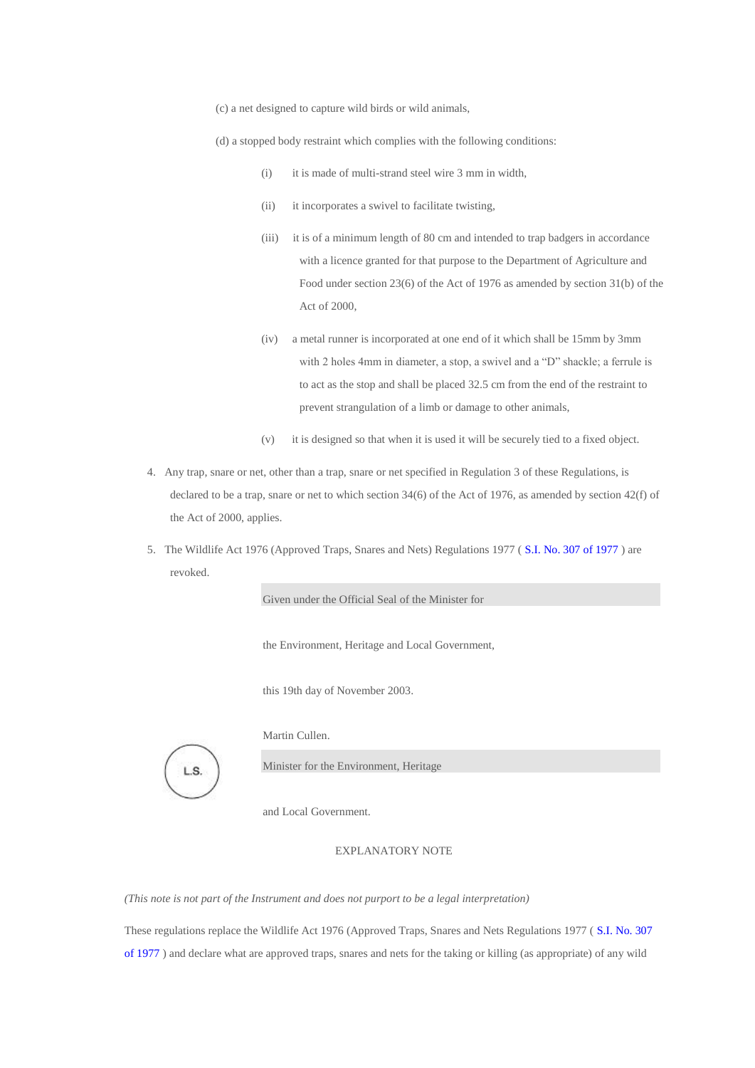(c) a net designed to capture wild birds or wild animals,

(d) a stopped body restraint which complies with the following conditions:

- (i) it is made of multi-strand steel wire 3 mm in width,
- (ii) it incorporates a swivel to facilitate twisting,
- (iii) it is of a minimum length of 80 cm and intended to trap badgers in accordance with a licence granted for that purpose to the Department of Agriculture and Food under section 23(6) of the Act of 1976 as amended by section 31(b) of the Act of 2000,
- (iv) a metal runner is incorporated at one end of it which shall be 15mm by 3mm with 2 holes 4mm in diameter, a stop, a swivel and a "D" shackle; a ferrule is to act as the stop and shall be placed 32.5 cm from the end of the restraint to prevent strangulation of a limb or damage to other animals,
- (v) it is designed so that when it is used it will be securely tied to a fixed object.
- 4. Any trap, snare or net, other than a trap, snare or net specified in Regulation 3 of these Regulations, is declared to be a trap, snare or net to which section 34(6) of the Act of 1976, as amended by section 42(f) of the Act of 2000, applies.
- 5. The Wildlife Act 1976 (Approved Traps, Snares and Nets) Regulations 1977 ( S.I. No. 307 of [1977](http://www.irishstatutebook.ie/1977/en/si/0307.html) ) are revoked.

Given under the Official Seal of the Minister for

the Environment, Heritage and Local Government,

this 19th day of November 2003.



Martin Cullen.

Minister for the Environment, Heritage

and Local Government.

## EXPLANATORY NOTE

*(This note is not part of the Instrument and does not purport to be a legal interpretation)*

These regulations replace the Wildlife Act 1976 (Approved Traps, Snares and Nets Regulations 1977 ( S.I. No. [307](http://www.irishstatutebook.ie/1977/en/si/0307.html) of [1977](http://www.irishstatutebook.ie/1977/en/si/0307.html) ) and declare what are approved traps, snares and nets for the taking or killing (as appropriate) of any wild